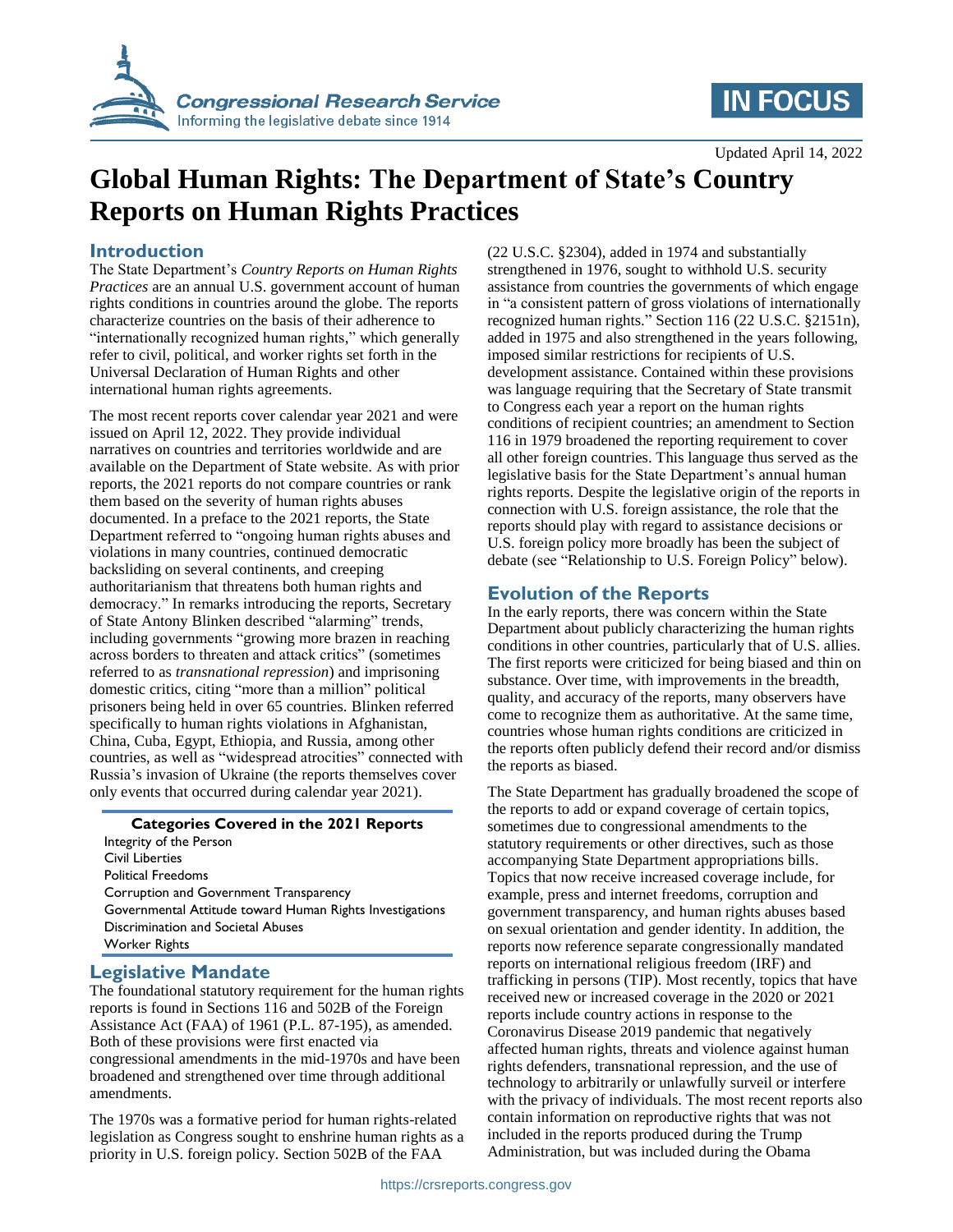

# **IN FOCUS**

Updated April 14, 2022

# **Global Human Rights: The Department of State's Country Reports on Human Rights Practices**

#### **Introduction**

The State Department's *Country Reports on Human Rights Practices* are an annual U.S. government account of human rights conditions in countries around the globe. The reports characterize countries on the basis of their adherence to "internationally recognized human rights," which generally refer to civil, political, and worker rights set forth in the Universal Declaration of Human Rights and other international human rights agreements.

The most recent reports cover calendar year 2021 and were issued on April 12, 2022. They provide individual narratives on countries and territories worldwide and are available on the Department of State website. As with prior reports, the 2021 reports do not compare countries or rank them based on the severity of human rights abuses documented. In a preface to the 2021 reports, the State Department referred to "ongoing human rights abuses and violations in many countries, continued democratic backsliding on several continents, and creeping authoritarianism that threatens both human rights and democracy." In remarks introducing the reports, Secretary of State Antony Blinken described "alarming" trends, including governments "growing more brazen in reaching across borders to threaten and attack critics" (sometimes referred to as *transnational repression*) and imprisoning domestic critics, citing "more than a million" political prisoners being held in over 65 countries. Blinken referred specifically to human rights violations in Afghanistan, China, Cuba, Egypt, Ethiopia, and Russia, among other countries, as well as "widespread atrocities" connected with Russia's invasion of Ukraine (the reports themselves cover only events that occurred during calendar year 2021).

#### **Categories Covered in the 2021 Reports**

Integrity of the Person Civil Liberties Political Freedoms Corruption and Government Transparency Governmental Attitude toward Human Rights Investigations Discrimination and Societal Abuses Worker Rights

#### **Legislative Mandate**

The foundational statutory requirement for the human rights reports is found in Sections 116 and 502B of the Foreign Assistance Act (FAA) of 1961 (P.L. 87-195), as amended. Both of these provisions were first enacted via congressional amendments in the mid-1970s and have been broadened and strengthened over time through additional amendments.

The 1970s was a formative period for human rights-related legislation as Congress sought to enshrine human rights as a priority in U.S. foreign policy. Section 502B of the FAA

(22 U.S.C. §2304), added in 1974 and substantially strengthened in 1976, sought to withhold U.S. security assistance from countries the governments of which engage in "a consistent pattern of gross violations of internationally recognized human rights." Section 116 (22 U.S.C. §2151n), added in 1975 and also strengthened in the years following, imposed similar restrictions for recipients of U.S. development assistance. Contained within these provisions was language requiring that the Secretary of State transmit to Congress each year a report on the human rights conditions of recipient countries; an amendment to Section 116 in 1979 broadened the reporting requirement to cover all other foreign countries. This language thus served as the legislative basis for the State Department's annual human rights reports. Despite the legislative origin of the reports in connection with U.S. foreign assistance, the role that the reports should play with regard to assistance decisions or U.S. foreign policy more broadly has been the subject of debate (see ["Relationship to](#page-1-0) U.S. Foreign Policy" below).

### **Evolution of the Reports**

In the early reports, there was concern within the State Department about publicly characterizing the human rights conditions in other countries, particularly that of U.S. allies. The first reports were criticized for being biased and thin on substance. Over time, with improvements in the breadth, quality, and accuracy of the reports, many observers have come to recognize them as authoritative. At the same time, countries whose human rights conditions are criticized in the reports often publicly defend their record and/or dismiss the reports as biased.

The State Department has gradually broadened the scope of the reports to add or expand coverage of certain topics, sometimes due to congressional amendments to the statutory requirements or other directives, such as those accompanying State Department appropriations bills. Topics that now receive increased coverage include, for example, press and internet freedoms, corruption and government transparency, and human rights abuses based on sexual orientation and gender identity. In addition, the reports now reference separate congressionally mandated reports on international religious freedom (IRF) and trafficking in persons (TIP). Most recently, topics that have received new or increased coverage in the 2020 or 2021 reports include country actions in response to the Coronavirus Disease 2019 pandemic that negatively affected human rights, threats and violence against human rights defenders, transnational repression, and the use of technology to arbitrarily or unlawfully surveil or interfere with the privacy of individuals. The most recent reports also contain information on reproductive rights that was not included in the reports produced during the Trump Administration, but was included during the Obama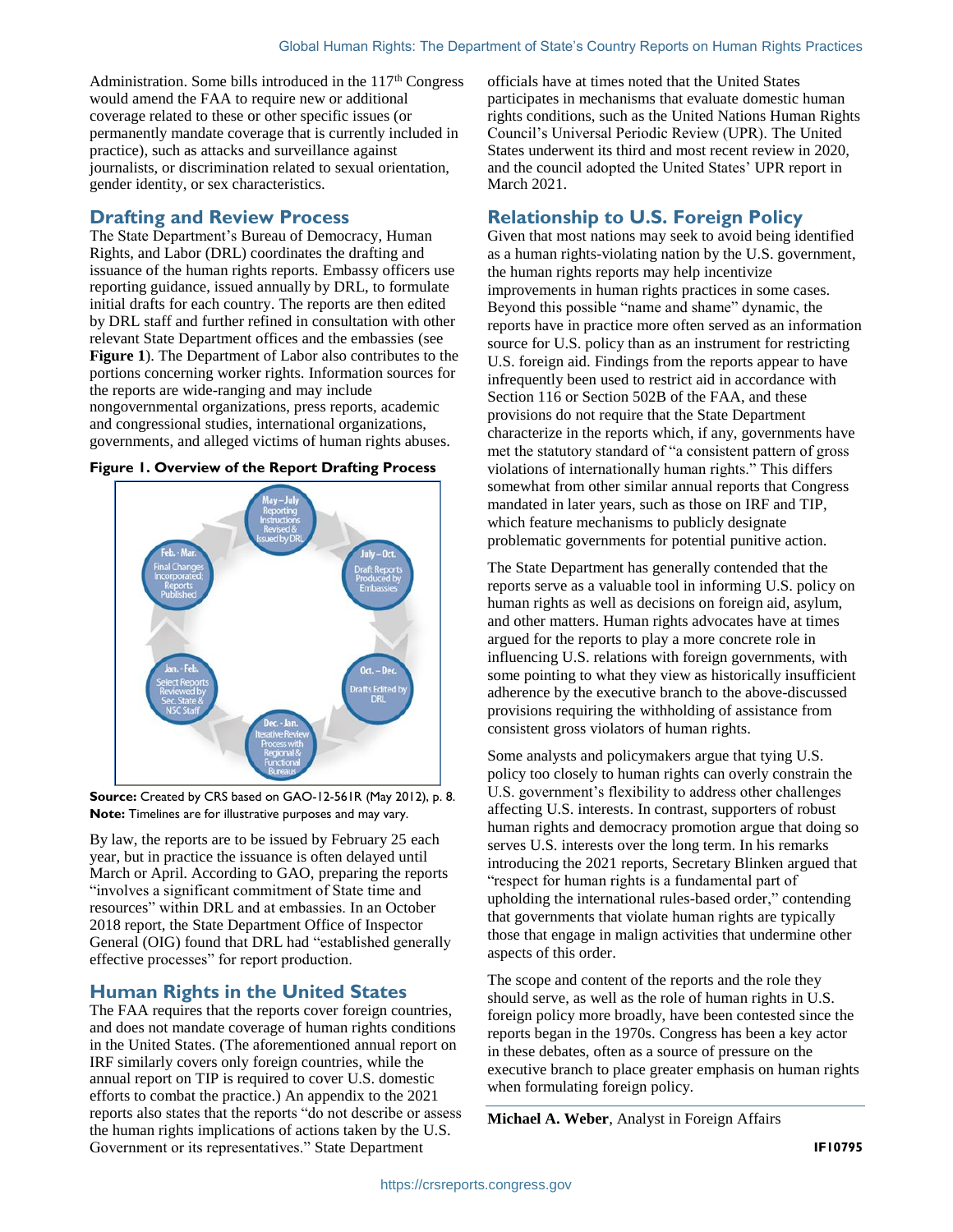Administration. Some bills introduced in the  $117<sup>th</sup>$  Congress would amend the FAA to require new or additional coverage related to these or other specific issues (or permanently mandate coverage that is currently included in practice), such as attacks and surveillance against journalists, or discrimination related to sexual orientation, gender identity, or sex characteristics.

### **Drafting and Review Process**

The State Department's Bureau of Democracy, Human Rights, and Labor (DRL) coordinates the drafting and issuance of the human rights reports. Embassy officers use reporting guidance, issued annually by DRL, to formulate initial drafts for each country. The reports are then edited by DRL staff and further refined in consultation with other relevant State Department offices and the embassies (see **[Figure 1](#page-1-1)**). The Department of Labor also contributes to the portions concerning worker rights. Information sources for the reports are wide-ranging and may include nongovernmental organizations, press reports, academic and congressional studies, international organizations, governments, and alleged victims of human rights abuses.



#### <span id="page-1-1"></span>**Figure 1. Overview of the Report Drafting Process**

**Source:** Created by CRS based on GAO-12-561R (May 2012), p. 8. **Note:** Timelines are for illustrative purposes and may vary.

By law, the reports are to be issued by February 25 each year, but in practice the issuance is often delayed until March or April. According to GAO, preparing the reports "involves a significant commitment of State time and resources" within DRL and at embassies. In an October 2018 report, the State Department Office of Inspector General (OIG) found that DRL had "established generally effective processes" for report production.

### **Human Rights in the United States**

The FAA requires that the reports cover foreign countries, and does not mandate coverage of human rights conditions in the United States. (The aforementioned annual report on IRF similarly covers only foreign countries, while the annual report on TIP is required to cover U.S. domestic efforts to combat the practice.) An appendix to the 2021 reports also states that the reports "do not describe or assess the human rights implications of actions taken by the U.S. Government or its representatives." State Department

officials have at times noted that the United States participates in mechanisms that evaluate domestic human rights conditions, such as the United Nations Human Rights Council's Universal Periodic Review (UPR). The United States underwent its third and most recent review in 2020, and the council adopted the United States' UPR report in March 2021.

## <span id="page-1-0"></span>**Relationship to U.S. Foreign Policy**

Given that most nations may seek to avoid being identified as a human rights-violating nation by the U.S. government, the human rights reports may help incentivize improvements in human rights practices in some cases. Beyond this possible "name and shame" dynamic, the reports have in practice more often served as an information source for U.S. policy than as an instrument for restricting U.S. foreign aid. Findings from the reports appear to have infrequently been used to restrict aid in accordance with Section 116 or Section 502B of the FAA, and these provisions do not require that the State Department characterize in the reports which, if any, governments have met the statutory standard of "a consistent pattern of gross violations of internationally human rights." This differs somewhat from other similar annual reports that Congress mandated in later years, such as those on IRF and TIP, which feature mechanisms to publicly designate problematic governments for potential punitive action.

The State Department has generally contended that the reports serve as a valuable tool in informing U.S. policy on human rights as well as decisions on foreign aid, asylum, and other matters. Human rights advocates have at times argued for the reports to play a more concrete role in influencing U.S. relations with foreign governments, with some pointing to what they view as historically insufficient adherence by the executive branch to the above-discussed provisions requiring the withholding of assistance from consistent gross violators of human rights.

Some analysts and policymakers argue that tying U.S. policy too closely to human rights can overly constrain the U.S. government's flexibility to address other challenges affecting U.S. interests. In contrast, supporters of robust human rights and democracy promotion argue that doing so serves U.S. interests over the long term. In his remarks introducing the 2021 reports, Secretary Blinken argued that "respect for human rights is a fundamental part of upholding the international rules-based order," contending that governments that violate human rights are typically those that engage in malign activities that undermine other aspects of this order.

The scope and content of the reports and the role they should serve, as well as the role of human rights in U.S. foreign policy more broadly, have been contested since the reports began in the 1970s. Congress has been a key actor in these debates, often as a source of pressure on the executive branch to place greater emphasis on human rights when formulating foreign policy.

**Michael A. Weber**, Analyst in Foreign Affairs